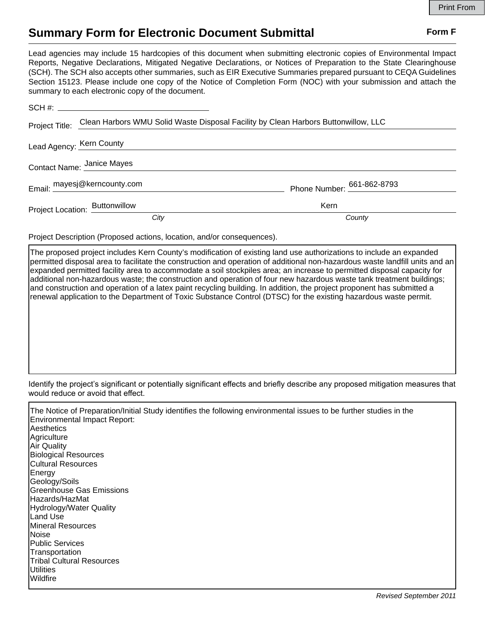## **Summary Form for Electronic Document Submittal Form F Form F**

Lead agencies may include 15 hardcopies of this document when submitting electronic copies of Environmental Impact Reports, Negative Declarations, Mitigated Negative Declarations, or Notices of Preparation to the State Clearinghouse (SCH). The SCH also accepts other summaries, such as EIR Executive Summaries prepared pursuant to CEQA Guidelines Section 15123. Please include one copy of the Notice of Completion Form (NOC) with your submission and attach the summary to each electronic copy of the document.

|                                | Project Title: Clean Harbors WMU Solid Waste Disposal Facility by Clean Harbors Buttonwillow, LLC |                            |
|--------------------------------|---------------------------------------------------------------------------------------------------|----------------------------|
| Lead Agency: Kern County       |                                                                                                   |                            |
| Contact Name: Janice Mayes     |                                                                                                   |                            |
|                                | Email: mayesj@kerncounty.com                                                                      | Phone Number: 661-862-8793 |
| Project Location: Buttonwillow |                                                                                                   | Kern                       |
|                                | City                                                                                              | County                     |

Project Description (Proposed actions, location, and/or consequences).

The proposed project includes Kern County's modification of existing land use authorizations to include an expanded permitted disposal area to facilitate the construction and operation of additional non-hazardous waste landfill units and an expanded permitted facility area to accommodate a soil stockpiles area; an increase to permitted disposal capacity for additional non-hazardous waste; the construction and operation of four new hazardous waste tank treatment buildings; and construction and operation of a latex paint recycling building. In addition, the project proponent has submitted a renewal application to the Department of Toxic Substance Control (DTSC) for the existing hazardous waste permit.

Identify the project's significant or potentially significant effects and briefly describe any proposed mitigation measures that would reduce or avoid that effect.

The Notice of Preparation/Initial Study identifies the following environmental issues to be further studies in the Environmental Impact Report: **Aesthetics Agriculture** Air Quality Biological Resources Cultural Resources Energy Geology/Soils Greenhouse Gas Emissions Hazards/HazMat Hydrology/Water Quality Land Use Mineral Resources **Noise** Public Services **Transportation** Tribal Cultural Resources **Utilities** Wildfire